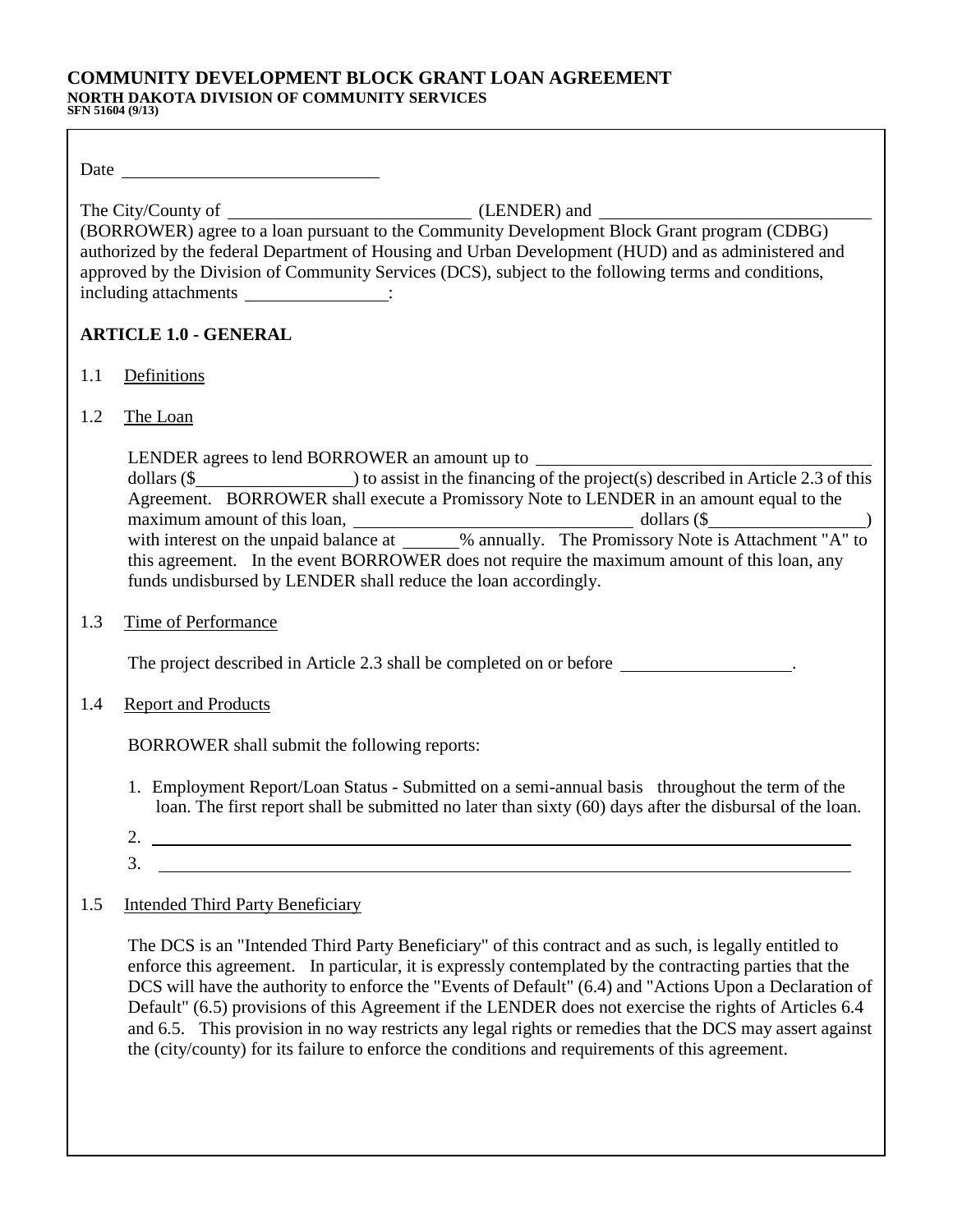# **COMMUNITY DEVELOPMENT BLOCK GRANT LOAN AGREEMENT NORTH DAKOTA DIVISION OF COMMUNITY SERVICES**

|     | Date and the contract of the contract of the contract of the contract of the contract of the contract of the contract of the contract of the contract of the contract of the contract of the contract of the contract of the c                                                                                                                                                                                                        |
|-----|---------------------------------------------------------------------------------------------------------------------------------------------------------------------------------------------------------------------------------------------------------------------------------------------------------------------------------------------------------------------------------------------------------------------------------------|
|     | authorized by the federal Department of Housing and Urban Development (HUD) and as administered and<br>approved by the Division of Community Services (DCS), subject to the following terms and conditions,<br>including attachments _________________:                                                                                                                                                                               |
|     | <b>ARTICLE 1.0 - GENERAL</b>                                                                                                                                                                                                                                                                                                                                                                                                          |
| 1.1 | Definitions                                                                                                                                                                                                                                                                                                                                                                                                                           |
| 1.2 | The Loan                                                                                                                                                                                                                                                                                                                                                                                                                              |
|     | LENDER agrees to lend BORROWER an amount up to _________________________________<br>Agreement. BORROWER shall execute a Promissory Note to LENDER in an amount equal to the<br>this agreement. In the event BORROWER does not require the maximum amount of this loan, any<br>funds undisbursed by LENDER shall reduce the loan accordingly.                                                                                          |
| 1.3 | <b>Time of Performance</b>                                                                                                                                                                                                                                                                                                                                                                                                            |
|     | The project described in Article 2.3 shall be completed on or before ________________.                                                                                                                                                                                                                                                                                                                                                |
| 1.4 | <b>Report and Products</b>                                                                                                                                                                                                                                                                                                                                                                                                            |
|     | BORROWER shall submit the following reports:                                                                                                                                                                                                                                                                                                                                                                                          |
|     | 1. Employment Report/Loan Status - Submitted on a semi-annual basis throughout the term of the<br>loan. The first report shall be submitted no later than sixty (60) days after the disbursal of the loan.<br>2                                                                                                                                                                                                                       |
|     | 3.                                                                                                                                                                                                                                                                                                                                                                                                                                    |
| 1.5 | <b>Intended Third Party Beneficiary</b>                                                                                                                                                                                                                                                                                                                                                                                               |
|     | The DCS is an "Intended Third Party Beneficiary" of this contract and as such, is legally entitled to<br>enforce this agreement. In particular, it is expressly contemplated by the contracting parties that the<br>DCS will have the authority to enforce the "Events of Default" (6.4) and "Actions Upon a Declaration of<br>Default" (6.5) provisions of this Agreement if the LENDER does not exercise the rights of Articles 6.4 |

and 6.5. This provision in no way restricts any legal rights or remedies that the DCS may assert against

the (city/county) for its failure to enforce the conditions and requirements of this agreement.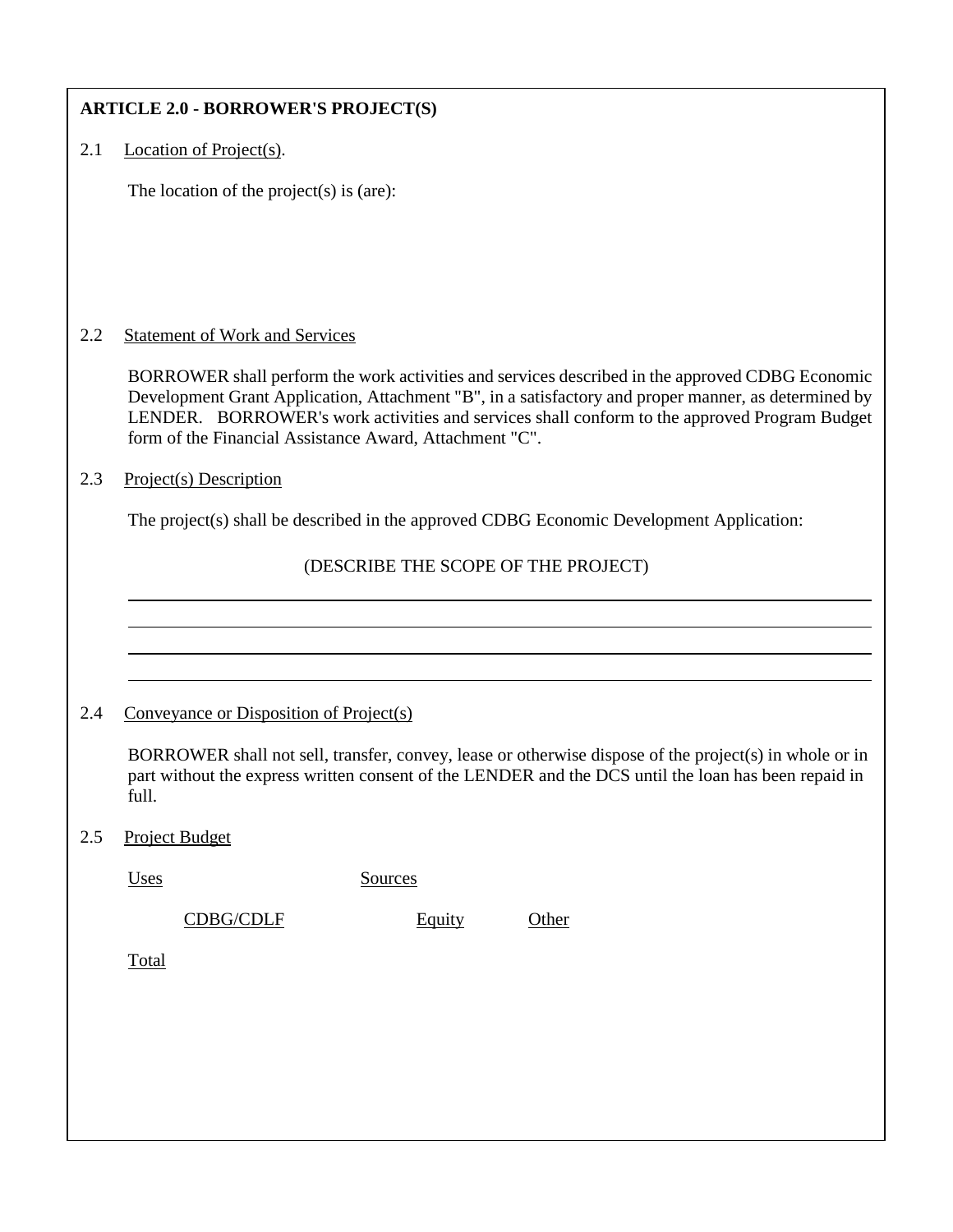| <b>ARTICLE 2.0 - BORROWER'S PROJECT(S)</b> |                                                                                                                                                                                                                                                                                                                                                                    |         |                                                                                          |  |  |
|--------------------------------------------|--------------------------------------------------------------------------------------------------------------------------------------------------------------------------------------------------------------------------------------------------------------------------------------------------------------------------------------------------------------------|---------|------------------------------------------------------------------------------------------|--|--|
| 2.1                                        | Location of Project(s).                                                                                                                                                                                                                                                                                                                                            |         |                                                                                          |  |  |
|                                            | The location of the project(s) is (are):                                                                                                                                                                                                                                                                                                                           |         |                                                                                          |  |  |
|                                            |                                                                                                                                                                                                                                                                                                                                                                    |         |                                                                                          |  |  |
|                                            |                                                                                                                                                                                                                                                                                                                                                                    |         |                                                                                          |  |  |
|                                            |                                                                                                                                                                                                                                                                                                                                                                    |         |                                                                                          |  |  |
| 2.2                                        | <b>Statement of Work and Services</b>                                                                                                                                                                                                                                                                                                                              |         |                                                                                          |  |  |
|                                            | BORROWER shall perform the work activities and services described in the approved CDBG Economic<br>Development Grant Application, Attachment "B", in a satisfactory and proper manner, as determined by<br>LENDER. BORROWER's work activities and services shall conform to the approved Program Budget<br>form of the Financial Assistance Award, Attachment "C". |         |                                                                                          |  |  |
| 2.3                                        | Project(s) Description                                                                                                                                                                                                                                                                                                                                             |         |                                                                                          |  |  |
|                                            |                                                                                                                                                                                                                                                                                                                                                                    |         | The project(s) shall be described in the approved CDBG Economic Development Application: |  |  |
|                                            | (DESCRIBE THE SCOPE OF THE PROJECT)                                                                                                                                                                                                                                                                                                                                |         |                                                                                          |  |  |
|                                            |                                                                                                                                                                                                                                                                                                                                                                    |         |                                                                                          |  |  |
|                                            |                                                                                                                                                                                                                                                                                                                                                                    |         |                                                                                          |  |  |
|                                            |                                                                                                                                                                                                                                                                                                                                                                    |         |                                                                                          |  |  |
| 2.4                                        | Conveyance or Disposition of Project(s)                                                                                                                                                                                                                                                                                                                            |         |                                                                                          |  |  |
|                                            | BORROWER shall not sell, transfer, convey, lease or otherwise dispose of the project(s) in whole or in<br>part without the express written consent of the LENDER and the DCS until the loan has been repaid in<br>full.                                                                                                                                            |         |                                                                                          |  |  |
| 2.5                                        | <b>Project Budget</b>                                                                                                                                                                                                                                                                                                                                              |         |                                                                                          |  |  |
|                                            | Uses                                                                                                                                                                                                                                                                                                                                                               | Sources |                                                                                          |  |  |
|                                            | <b>CDBG/CDLF</b>                                                                                                                                                                                                                                                                                                                                                   | Equity  | Other                                                                                    |  |  |
|                                            | Total                                                                                                                                                                                                                                                                                                                                                              |         |                                                                                          |  |  |
|                                            |                                                                                                                                                                                                                                                                                                                                                                    |         |                                                                                          |  |  |
|                                            |                                                                                                                                                                                                                                                                                                                                                                    |         |                                                                                          |  |  |
|                                            |                                                                                                                                                                                                                                                                                                                                                                    |         |                                                                                          |  |  |
|                                            |                                                                                                                                                                                                                                                                                                                                                                    |         |                                                                                          |  |  |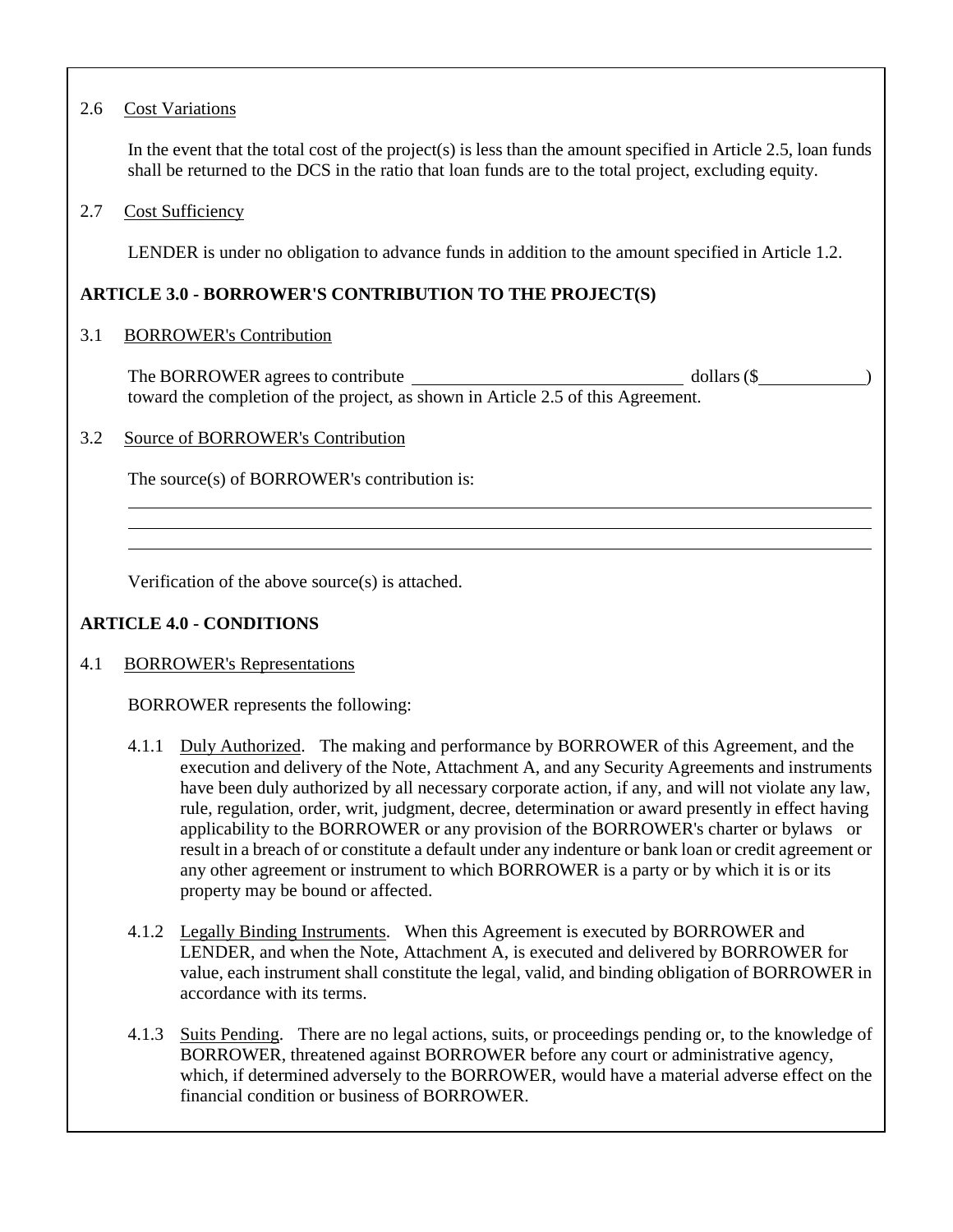# 2.6 Cost Variations

In the event that the total cost of the project(s) is less than the amount specified in Article 2.5, loan funds shall be returned to the DCS in the ratio that loan funds are to the total project, excluding equity.

# 2.7 Cost Sufficiency

LENDER is under no obligation to advance funds in addition to the amount specified in Article 1.2.

# **ARTICLE 3.0 - BORROWER'S CONTRIBUTION TO THE PROJECT(S)**

### 3.1 BORROWER's Contribution

The BORROWER agrees to contribute dollars (\$  $\delta$  ) toward the completion of the project, as shown in Article 2.5 of this Agreement.

### 3.2 Source of BORROWER's Contribution

The source(s) of BORROWER's contribution is:

Verification of the above source(s) is attached.

# **ARTICLE 4.0 - CONDITIONS**

### 4.1 BORROWER's Representations

BORROWER represents the following:

- 4.1.1 Duly Authorized. The making and performance by BORROWER of this Agreement, and the execution and delivery of the Note, Attachment A, and any Security Agreements and instruments have been duly authorized by all necessary corporate action, if any, and will not violate any law, rule, regulation, order, writ, judgment, decree, determination or award presently in effect having applicability to the BORROWER or any provision of the BORROWER's charter or bylaws or result in a breach of or constitute a default under any indenture or bank loan or credit agreement or any other agreement or instrument to which BORROWER is a party or by which it is or its property may be bound or affected.
- 4.1.2 Legally Binding Instruments. When this Agreement is executed by BORROWER and LENDER, and when the Note, Attachment A, is executed and delivered by BORROWER for value, each instrument shall constitute the legal, valid, and binding obligation of BORROWER in accordance with its terms.
- 4.1.3 Suits Pending. There are no legal actions, suits, or proceedings pending or, to the knowledge of BORROWER, threatened against BORROWER before any court or administrative agency, which, if determined adversely to the BORROWER, would have a material adverse effect on the financial condition or business of BORROWER.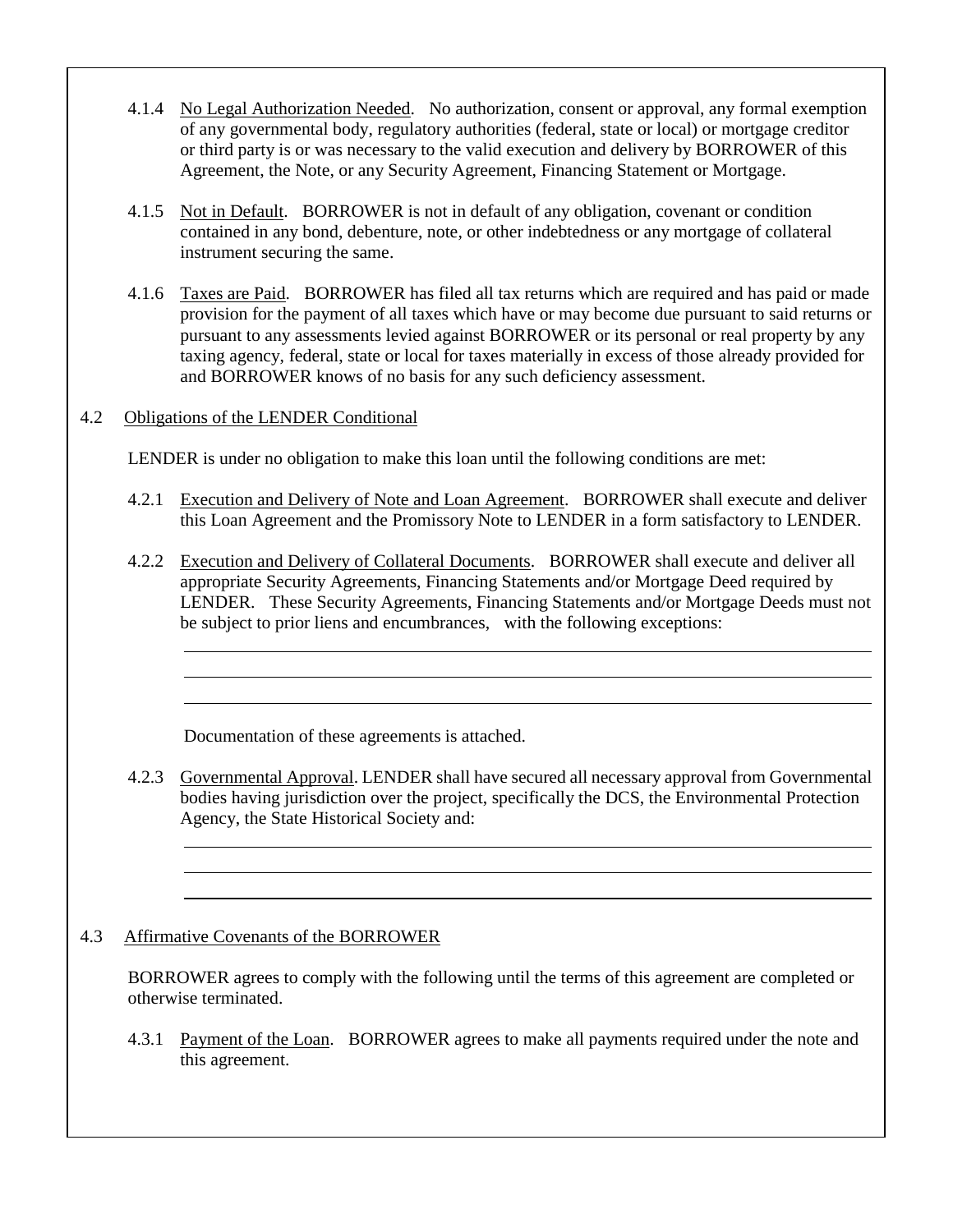- 4.1.4 No Legal Authorization Needed. No authorization, consent or approval, any formal exemption of any governmental body, regulatory authorities (federal, state or local) or mortgage creditor or third party is or was necessary to the valid execution and delivery by BORROWER of this Agreement, the Note, or any Security Agreement, Financing Statement or Mortgage.
- 4.1.5 Not in Default. BORROWER is not in default of any obligation, covenant or condition contained in any bond, debenture, note, or other indebtedness or any mortgage of collateral instrument securing the same.
- 4.1.6 Taxes are Paid. BORROWER has filed all tax returns which are required and has paid or made provision for the payment of all taxes which have or may become due pursuant to said returns or pursuant to any assessments levied against BORROWER or its personal or real property by any taxing agency, federal, state or local for taxes materially in excess of those already provided for and BORROWER knows of no basis for any such deficiency assessment.
- 4.2 Obligations of the LENDER Conditional

LENDER is under no obligation to make this loan until the following conditions are met:

- 4.2.1 Execution and Delivery of Note and Loan Agreement. BORROWER shall execute and deliver this Loan Agreement and the Promissory Note to LENDER in a form satisfactory to LENDER.
- 4.2.2 Execution and Delivery of Collateral Documents. BORROWER shall execute and deliver all appropriate Security Agreements, Financing Statements and/or Mortgage Deed required by LENDER. These Security Agreements, Financing Statements and/or Mortgage Deeds must not be subject to prior liens and encumbrances, with the following exceptions:

Documentation of these agreements is attached.

4.2.3 Governmental Approval. LENDER shall have secured all necessary approval from Governmental bodies having jurisdiction over the project, specifically the DCS, the Environmental Protection Agency, the State Historical Society and:

# 4.3 Affirmative Covenants of the BORROWER

BORROWER agrees to comply with the following until the terms of this agreement are completed or otherwise terminated.

4.3.1 Payment of the Loan. BORROWER agrees to make all payments required under the note and this agreement.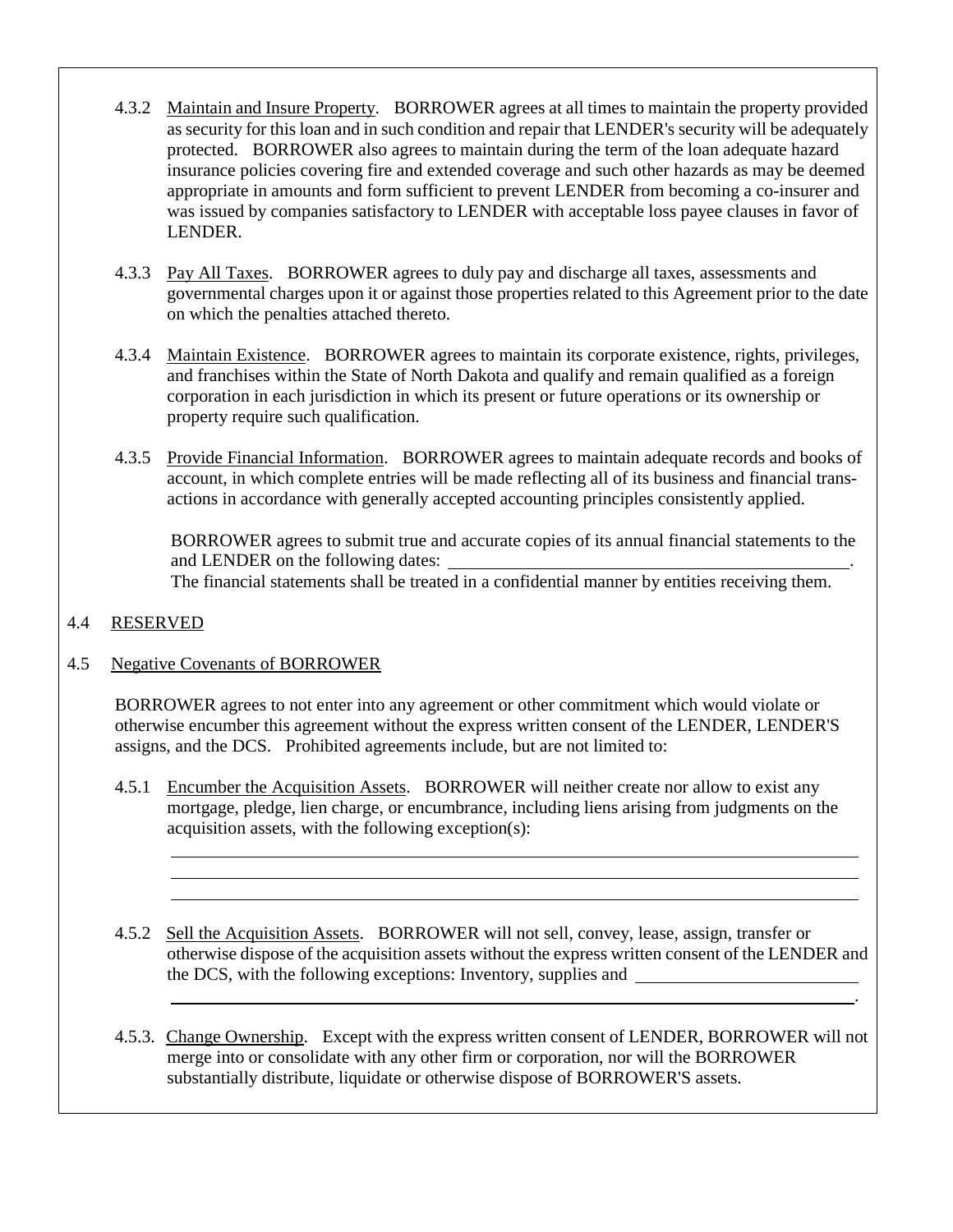- 4.3.2 Maintain and Insure Property. BORROWER agrees at all times to maintain the property provided as security for this loan and in such condition and repair that LENDER's security will be adequately protected. BORROWER also agrees to maintain during the term of the loan adequate hazard insurance policies covering fire and extended coverage and such other hazards as may be deemed appropriate in amounts and form sufficient to prevent LENDER from becoming a co-insurer and was issued by companies satisfactory to LENDER with acceptable loss payee clauses in favor of LENDER.
- 4.3.3 Pay All Taxes. BORROWER agrees to duly pay and discharge all taxes, assessments and governmental charges upon it or against those properties related to this Agreement prior to the date on which the penalties attached thereto.
- 4.3.4 Maintain Existence. BORROWER agrees to maintain its corporate existence, rights, privileges, and franchises within the State of North Dakota and qualify and remain qualified as a foreign corporation in each jurisdiction in which its present or future operations or its ownership or property require such qualification.
- 4.3.5 Provide Financial Information. BORROWER agrees to maintain adequate records and books of account, in which complete entries will be made reflecting all of its business and financial transactions in accordance with generally accepted accounting principles consistently applied.

BORROWER agrees to submit true and accurate copies of its annual financial statements to the and LENDER on the following dates: The financial statements shall be treated in a confidential manner by entities receiving them.

# 4.4 RESERVED

### 4.5 Negative Covenants of BORROWER

BORROWER agrees to not enter into any agreement or other commitment which would violate or otherwise encumber this agreement without the express written consent of the LENDER, LENDER'S assigns, and the DCS. Prohibited agreements include, but are not limited to:

- 4.5.1 Encumber the Acquisition Assets. BORROWER will neither create nor allow to exist any mortgage, pledge, lien charge, or encumbrance, including liens arising from judgments on the acquisition assets, with the following exception(s):
- 4.5.2 Sell the Acquisition Assets. BORROWER will not sell, convey, lease, assign, transfer or otherwise dispose of the acquisition assets without the express written consent of the LENDER and the DCS, with the following exceptions: Inventory, supplies and

.

4.5.3. Change Ownership. Except with the express written consent of LENDER, BORROWER will not merge into or consolidate with any other firm or corporation, nor will the BORROWER substantially distribute, liquidate or otherwise dispose of BORROWER'S assets.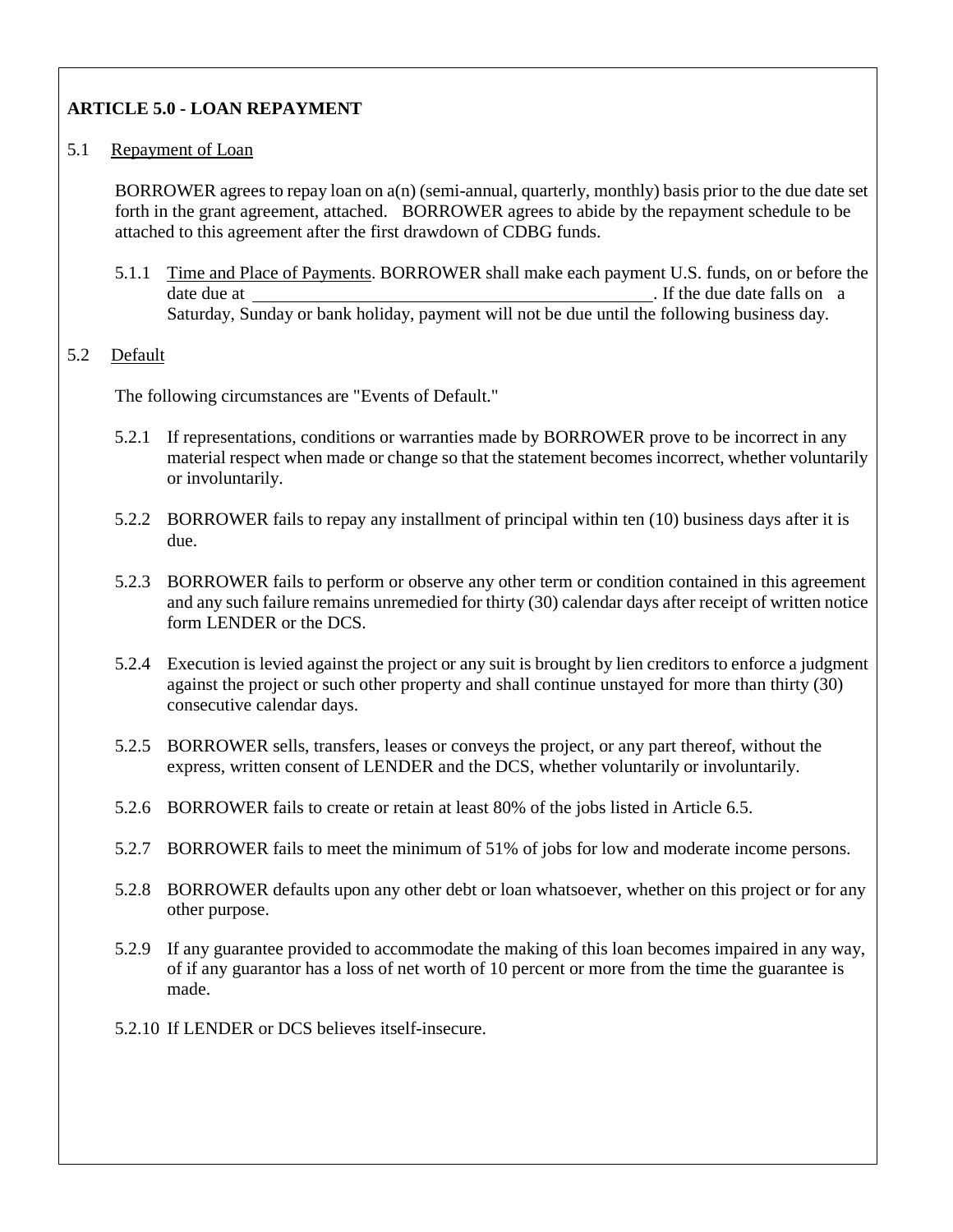# **ARTICLE 5.0 - LOAN REPAYMENT**

# 5.1 Repayment of Loan

BORROWER agrees to repay loan on a(n) (semi-annual, quarterly, monthly) basis prior to the due date set forth in the grant agreement, attached. BORROWER agrees to abide by the repayment schedule to be attached to this agreement after the first drawdown of CDBG funds.

5.1.1 Time and Place of Payments. BORROWER shall make each payment U.S. funds, on or before the date due at . If the due date falls on a . If the due date falls on a Saturday, Sunday or bank holiday, payment will not be due until the following business day.

# 5.2 Default

The following circumstances are "Events of Default."

- 5.2.1 If representations, conditions or warranties made by BORROWER prove to be incorrect in any material respect when made or change so that the statement becomes incorrect, whether voluntarily or involuntarily.
- 5.2.2 BORROWER fails to repay any installment of principal within ten (10) business days after it is due.
- 5.2.3 BORROWER fails to perform or observe any other term or condition contained in this agreement and any such failure remains unremedied for thirty (30) calendar days after receipt of written notice form LENDER or the DCS.
- 5.2.4 Execution is levied against the project or any suit is brought by lien creditors to enforce a judgment against the project or such other property and shall continue unstayed for more than thirty (30) consecutive calendar days.
- 5.2.5 BORROWER sells, transfers, leases or conveys the project, or any part thereof, without the express, written consent of LENDER and the DCS, whether voluntarily or involuntarily.
- 5.2.6 BORROWER fails to create or retain at least 80% of the jobs listed in Article 6.5.
- 5.2.7 BORROWER fails to meet the minimum of 51% of jobs for low and moderate income persons.
- 5.2.8 BORROWER defaults upon any other debt or loan whatsoever, whether on this project or for any other purpose.
- 5.2.9 If any guarantee provided to accommodate the making of this loan becomes impaired in any way, of if any guarantor has a loss of net worth of 10 percent or more from the time the guarantee is made.
- 5.2.10 If LENDER or DCS believes itself-insecure.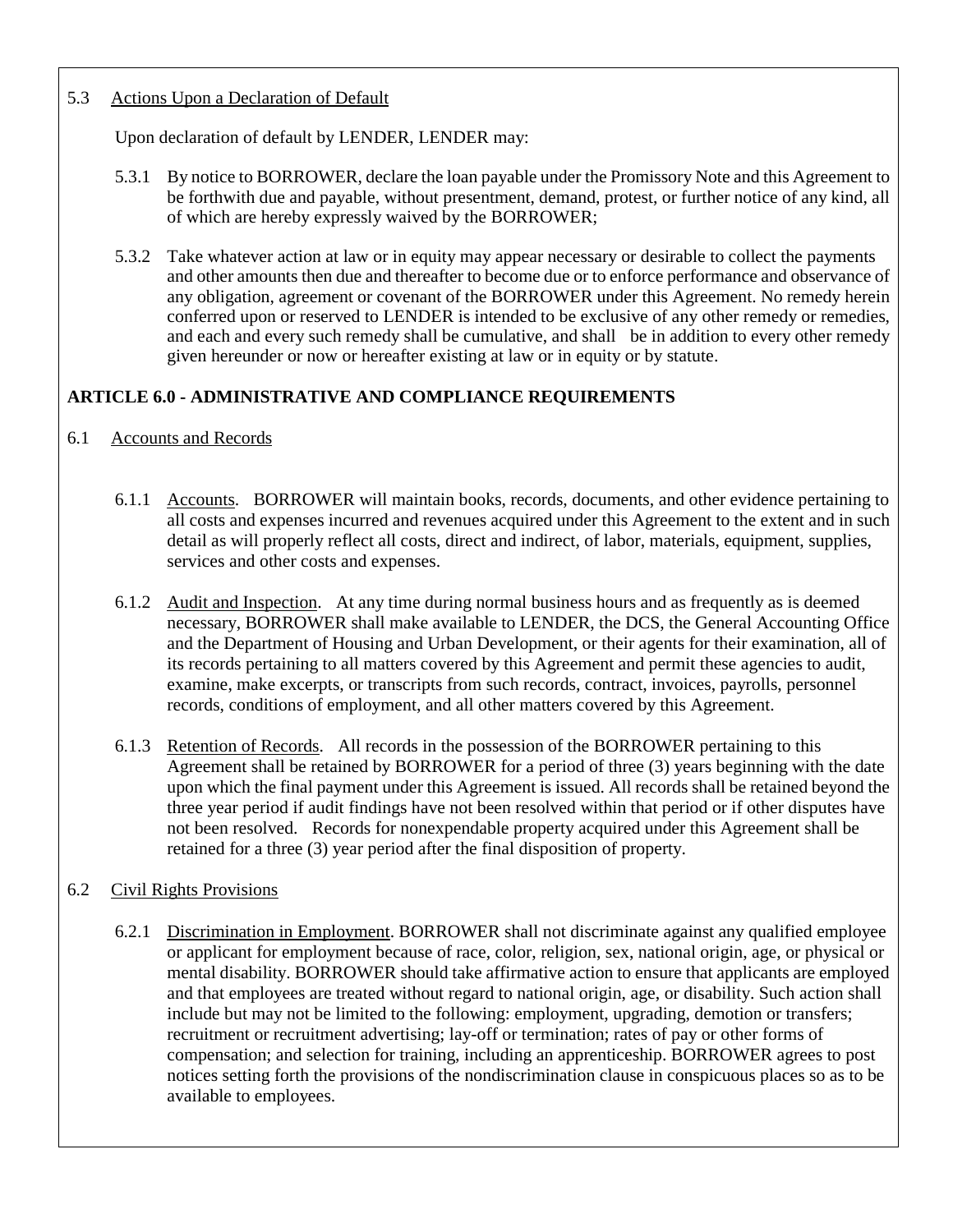# 5.3 Actions Upon a Declaration of Default

Upon declaration of default by LENDER, LENDER may:

- 5.3.1 By notice to BORROWER, declare the loan payable under the Promissory Note and this Agreement to be forthwith due and payable, without presentment, demand, protest, or further notice of any kind, all of which are hereby expressly waived by the BORROWER;
- 5.3.2 Take whatever action at law or in equity may appear necessary or desirable to collect the payments and other amounts then due and thereafter to become due or to enforce performance and observance of any obligation, agreement or covenant of the BORROWER under this Agreement. No remedy herein conferred upon or reserved to LENDER is intended to be exclusive of any other remedy or remedies, and each and every such remedy shall be cumulative, and shall be in addition to every other remedy given hereunder or now or hereafter existing at law or in equity or by statute.

# **ARTICLE 6.0 - ADMINISTRATIVE AND COMPLIANCE REQUIREMENTS**

### 6.1 Accounts and Records

- 6.1.1 Accounts. BORROWER will maintain books, records, documents, and other evidence pertaining to all costs and expenses incurred and revenues acquired under this Agreement to the extent and in such detail as will properly reflect all costs, direct and indirect, of labor, materials, equipment, supplies, services and other costs and expenses.
- 6.1.2 Audit and Inspection. At any time during normal business hours and as frequently as is deemed necessary, BORROWER shall make available to LENDER, the DCS, the General Accounting Office and the Department of Housing and Urban Development, or their agents for their examination, all of its records pertaining to all matters covered by this Agreement and permit these agencies to audit, examine, make excerpts, or transcripts from such records, contract, invoices, payrolls, personnel records, conditions of employment, and all other matters covered by this Agreement.
- 6.1.3 Retention of Records. All records in the possession of the BORROWER pertaining to this Agreement shall be retained by BORROWER for a period of three (3) years beginning with the date upon which the final payment under this Agreement is issued. All records shall be retained beyond the three year period if audit findings have not been resolved within that period or if other disputes have not been resolved. Records for nonexpendable property acquired under this Agreement shall be retained for a three (3) year period after the final disposition of property.

### 6.2 Civil Rights Provisions

6.2.1 Discrimination in Employment. BORROWER shall not discriminate against any qualified employee or applicant for employment because of race, color, religion, sex, national origin, age, or physical or mental disability. BORROWER should take affirmative action to ensure that applicants are employed and that employees are treated without regard to national origin, age, or disability. Such action shall include but may not be limited to the following: employment, upgrading, demotion or transfers; recruitment or recruitment advertising; lay-off or termination; rates of pay or other forms of compensation; and selection for training, including an apprenticeship. BORROWER agrees to post notices setting forth the provisions of the nondiscrimination clause in conspicuous places so as to be available to employees.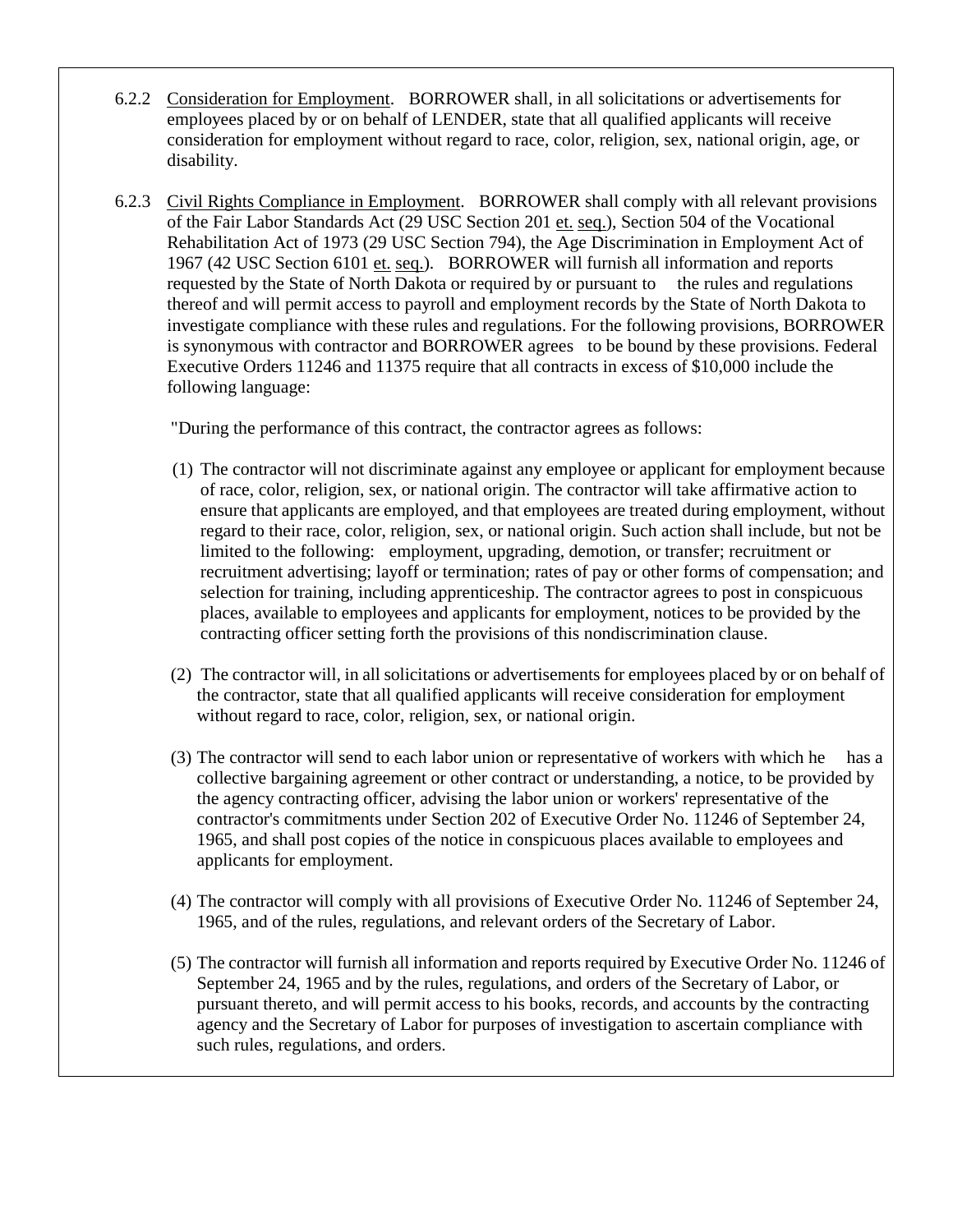- 6.2.2 Consideration for Employment. BORROWER shall, in all solicitations or advertisements for employees placed by or on behalf of LENDER, state that all qualified applicants will receive consideration for employment without regard to race, color, religion, sex, national origin, age, or disability.
- 6.2.3 Civil Rights Compliance in Employment. BORROWER shall comply with all relevant provisions of the Fair Labor Standards Act (29 USC Section 201 et. seq.), Section 504 of the Vocational Rehabilitation Act of 1973 (29 USC Section 794), the Age Discrimination in Employment Act of 1967 (42 USC Section 6101 et. seq.). BORROWER will furnish all information and reports requested by the State of North Dakota or required by or pursuant to the rules and regulations thereof and will permit access to payroll and employment records by the State of North Dakota to investigate compliance with these rules and regulations. For the following provisions, BORROWER is synonymous with contractor and BORROWER agrees to be bound by these provisions. Federal Executive Orders 11246 and 11375 require that all contracts in excess of \$10,000 include the following language:

"During the performance of this contract, the contractor agrees as follows:

- (1) The contractor will not discriminate against any employee or applicant for employment because of race, color, religion, sex, or national origin. The contractor will take affirmative action to ensure that applicants are employed, and that employees are treated during employment, without regard to their race, color, religion, sex, or national origin. Such action shall include, but not be limited to the following: employment, upgrading, demotion, or transfer; recruitment or recruitment advertising; layoff or termination; rates of pay or other forms of compensation; and selection for training, including apprenticeship. The contractor agrees to post in conspicuous places, available to employees and applicants for employment, notices to be provided by the contracting officer setting forth the provisions of this nondiscrimination clause.
- (2) The contractor will, in all solicitations or advertisements for employees placed by or on behalf of the contractor, state that all qualified applicants will receive consideration for employment without regard to race, color, religion, sex, or national origin.
- (3) The contractor will send to each labor union or representative of workers with which he has a collective bargaining agreement or other contract or understanding, a notice, to be provided by the agency contracting officer, advising the labor union or workers' representative of the contractor's commitments under Section 202 of Executive Order No. 11246 of September 24, 1965, and shall post copies of the notice in conspicuous places available to employees and applicants for employment.
- (4) The contractor will comply with all provisions of Executive Order No. 11246 of September 24, 1965, and of the rules, regulations, and relevant orders of the Secretary of Labor.
- (5) The contractor will furnish all information and reports required by Executive Order No. 11246 of September 24, 1965 and by the rules, regulations, and orders of the Secretary of Labor, or pursuant thereto, and will permit access to his books, records, and accounts by the contracting agency and the Secretary of Labor for purposes of investigation to ascertain compliance with such rules, regulations, and orders.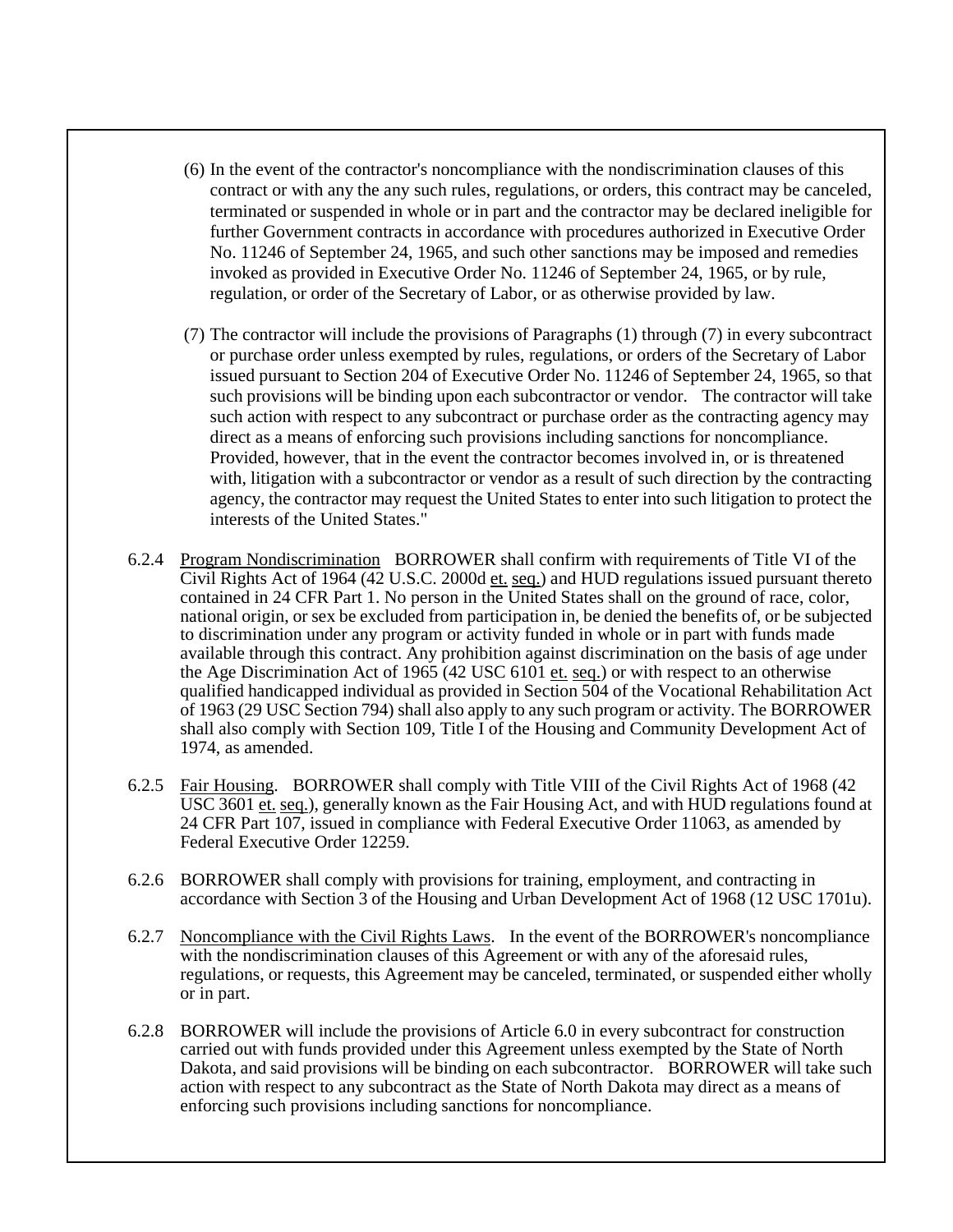- (6) In the event of the contractor's noncompliance with the nondiscrimination clauses of this contract or with any the any such rules, regulations, or orders, this contract may be canceled, terminated or suspended in whole or in part and the contractor may be declared ineligible for further Government contracts in accordance with procedures authorized in Executive Order No. 11246 of September 24, 1965, and such other sanctions may be imposed and remedies invoked as provided in Executive Order No. 11246 of September 24, 1965, or by rule, regulation, or order of the Secretary of Labor, or as otherwise provided by law.
- (7) The contractor will include the provisions of Paragraphs (1) through (7) in every subcontract or purchase order unless exempted by rules, regulations, or orders of the Secretary of Labor issued pursuant to Section 204 of Executive Order No. 11246 of September 24, 1965, so that such provisions will be binding upon each subcontractor or vendor. The contractor will take such action with respect to any subcontract or purchase order as the contracting agency may direct as a means of enforcing such provisions including sanctions for noncompliance. Provided, however, that in the event the contractor becomes involved in, or is threatened with, litigation with a subcontractor or vendor as a result of such direction by the contracting agency, the contractor may request the United States to enter into such litigation to protect the interests of the United States."
- 6.2.4 Program Nondiscrimination BORROWER shall confirm with requirements of Title VI of the Civil Rights Act of 1964 (42 U.S.C. 2000d et. seq.) and HUD regulations issued pursuant thereto contained in 24 CFR Part 1. No person in the United States shall on the ground of race, color, national origin, or sex be excluded from participation in, be denied the benefits of, or be subjected to discrimination under any program or activity funded in whole or in part with funds made available through this contract. Any prohibition against discrimination on the basis of age under the Age Discrimination Act of 1965 (42 USC 6101 et. seq.) or with respect to an otherwise qualified handicapped individual as provided in Section 504 of the Vocational Rehabilitation Act of 1963 (29 USC Section 794) shall also apply to any such program or activity. The BORROWER shall also comply with Section 109, Title I of the Housing and Community Development Act of 1974, as amended.
- 6.2.5 Fair Housing. BORROWER shall comply with Title VIII of the Civil Rights Act of 1968 (42 USC 3601 et. seq.), generally known as the Fair Housing Act, and with HUD regulations found at 24 CFR Part 107, issued in compliance with Federal Executive Order 11063, as amended by Federal Executive Order 12259.
- 6.2.6 BORROWER shall comply with provisions for training, employment, and contracting in accordance with Section 3 of the Housing and Urban Development Act of 1968 (12 USC 1701u).
- 6.2.7 Noncompliance with the Civil Rights Laws. In the event of the BORROWER's noncompliance with the nondiscrimination clauses of this Agreement or with any of the aforesaid rules, regulations, or requests, this Agreement may be canceled, terminated, or suspended either wholly or in part.
- 6.2.8 BORROWER will include the provisions of Article 6.0 in every subcontract for construction carried out with funds provided under this Agreement unless exempted by the State of North Dakota, and said provisions will be binding on each subcontractor. BORROWER will take such action with respect to any subcontract as the State of North Dakota may direct as a means of enforcing such provisions including sanctions for noncompliance.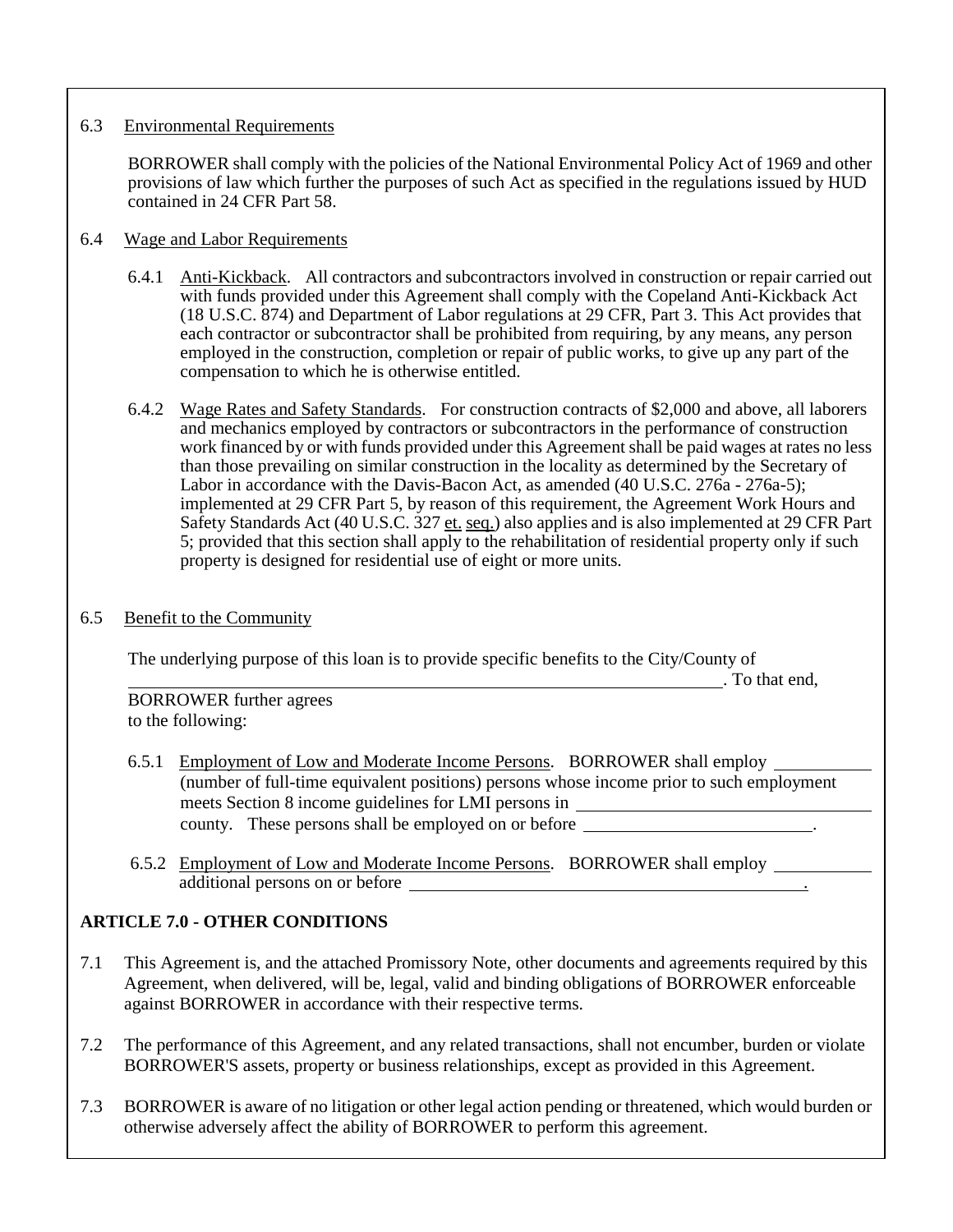## 6.3 Environmental Requirements

BORROWER shall comply with the policies of the National Environmental Policy Act of 1969 and other provisions of law which further the purposes of such Act as specified in the regulations issued by HUD contained in 24 CFR Part 58.

# 6.4 Wage and Labor Requirements

- 6.4.1 Anti-Kickback. All contractors and subcontractors involved in construction or repair carried out with funds provided under this Agreement shall comply with the Copeland Anti-Kickback Act (18 U.S.C. 874) and Department of Labor regulations at 29 CFR, Part 3. This Act provides that each contractor or subcontractor shall be prohibited from requiring, by any means, any person employed in the construction, completion or repair of public works, to give up any part of the compensation to which he is otherwise entitled.
- 6.4.2 Wage Rates and Safety Standards. For construction contracts of \$2,000 and above, all laborers and mechanics employed by contractors or subcontractors in the performance of construction work financed by or with funds provided under this Agreement shall be paid wages at rates no less than those prevailing on similar construction in the locality as determined by the Secretary of Labor in accordance with the Davis-Bacon Act, as amended (40 U.S.C. 276a - 276a-5); implemented at 29 CFR Part 5, by reason of this requirement, the Agreement Work Hours and Safety Standards Act (40 U.S.C. 327 et. seq.) also applies and is also implemented at 29 CFR Part 5; provided that this section shall apply to the rehabilitation of residential property only if such property is designed for residential use of eight or more units.

### 6.5 Benefit to the Community

The underlying purpose of this loan is to provide specific benefits to the City/County of

. To that end,

BORROWER further agrees to the following:

- 6.5.1 Employment of Low and Moderate Income Persons. BORROWER shall employ (number of full-time equivalent positions) persons whose income prior to such employment meets Section 8 income guidelines for LMI persons in county. These persons shall be employed on or before .
- 6.5.2 Employment of Low and Moderate Income Persons. BORROWER shall employ additional persons on or before .

# **ARTICLE 7.0 - OTHER CONDITIONS**

- 7.1 This Agreement is, and the attached Promissory Note, other documents and agreements required by this Agreement, when delivered, will be, legal, valid and binding obligations of BORROWER enforceable against BORROWER in accordance with their respective terms.
- 7.2 The performance of this Agreement, and any related transactions, shall not encumber, burden or violate BORROWER'S assets, property or business relationships, except as provided in this Agreement.
- 7.3 BORROWER is aware of no litigation or other legal action pending or threatened, which would burden or otherwise adversely affect the ability of BORROWER to perform this agreement.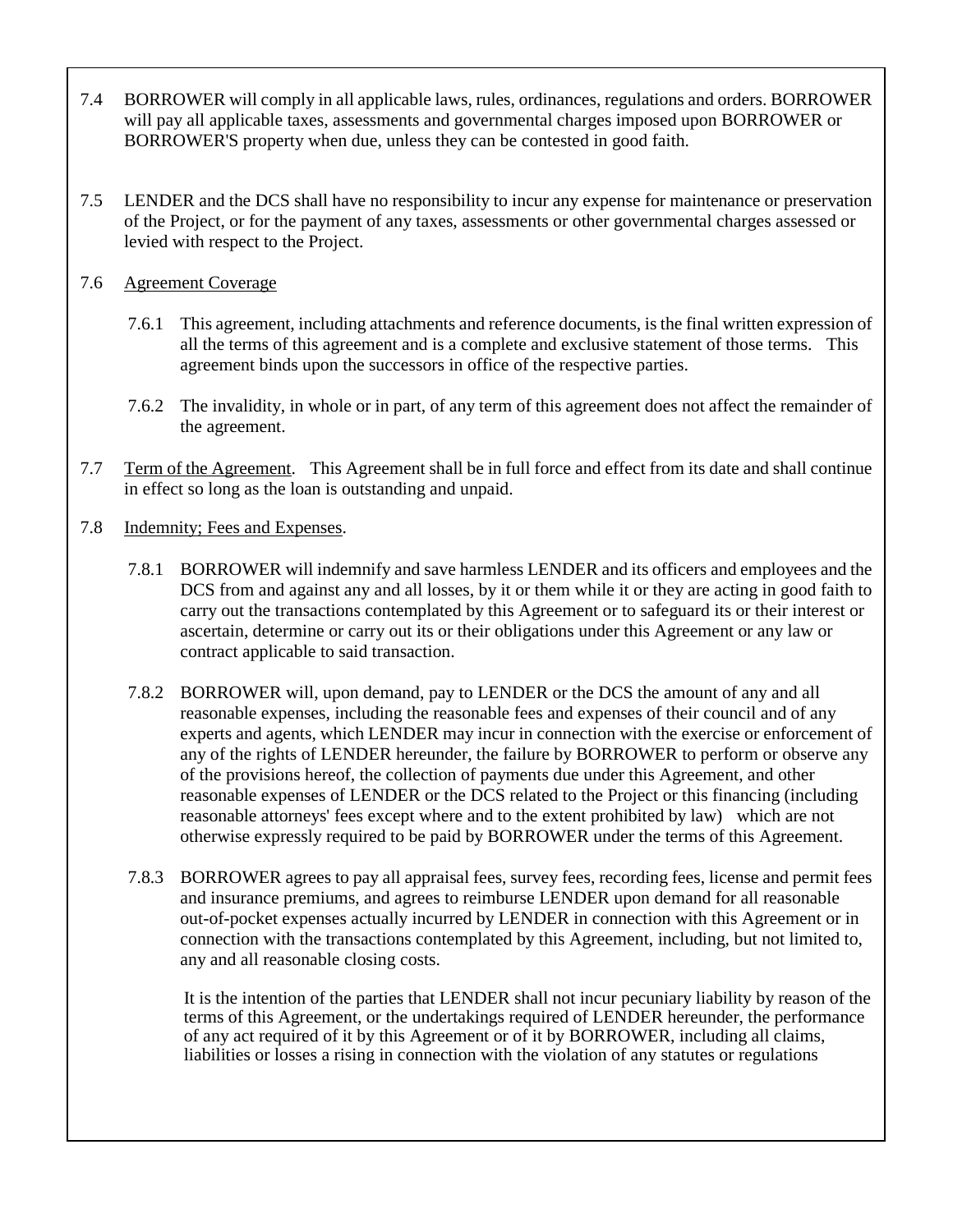- 7.4 BORROWER will comply in all applicable laws, rules, ordinances, regulations and orders. BORROWER will pay all applicable taxes, assessments and governmental charges imposed upon BORROWER or BORROWER'S property when due, unless they can be contested in good faith.
- 7.5 LENDER and the DCS shall have no responsibility to incur any expense for maintenance or preservation of the Project, or for the payment of any taxes, assessments or other governmental charges assessed or levied with respect to the Project.

# 7.6 Agreement Coverage

- 7.6.1 This agreement, including attachments and reference documents, is the final written expression of all the terms of this agreement and is a complete and exclusive statement of those terms. This agreement binds upon the successors in office of the respective parties.
- 7.6.2 The invalidity, in whole or in part, of any term of this agreement does not affect the remainder of the agreement.
- 7.7 Term of the Agreement. This Agreement shall be in full force and effect from its date and shall continue in effect so long as the loan is outstanding and unpaid.
- 7.8 Indemnity; Fees and Expenses.
	- 7.8.1 BORROWER will indemnify and save harmless LENDER and its officers and employees and the DCS from and against any and all losses, by it or them while it or they are acting in good faith to carry out the transactions contemplated by this Agreement or to safeguard its or their interest or ascertain, determine or carry out its or their obligations under this Agreement or any law or contract applicable to said transaction.
	- 7.8.2 BORROWER will, upon demand, pay to LENDER or the DCS the amount of any and all reasonable expenses, including the reasonable fees and expenses of their council and of any experts and agents, which LENDER may incur in connection with the exercise or enforcement of any of the rights of LENDER hereunder, the failure by BORROWER to perform or observe any of the provisions hereof, the collection of payments due under this Agreement, and other reasonable expenses of LENDER or the DCS related to the Project or this financing (including reasonable attorneys' fees except where and to the extent prohibited by law) which are not otherwise expressly required to be paid by BORROWER under the terms of this Agreement.
	- 7.8.3 BORROWER agrees to pay all appraisal fees, survey fees, recording fees, license and permit fees and insurance premiums, and agrees to reimburse LENDER upon demand for all reasonable out-of-pocket expenses actually incurred by LENDER in connection with this Agreement or in connection with the transactions contemplated by this Agreement, including, but not limited to, any and all reasonable closing costs.

It is the intention of the parties that LENDER shall not incur pecuniary liability by reason of the terms of this Agreement, or the undertakings required of LENDER hereunder, the performance of any act required of it by this Agreement or of it by BORROWER, including all claims, liabilities or losses a rising in connection with the violation of any statutes or regulations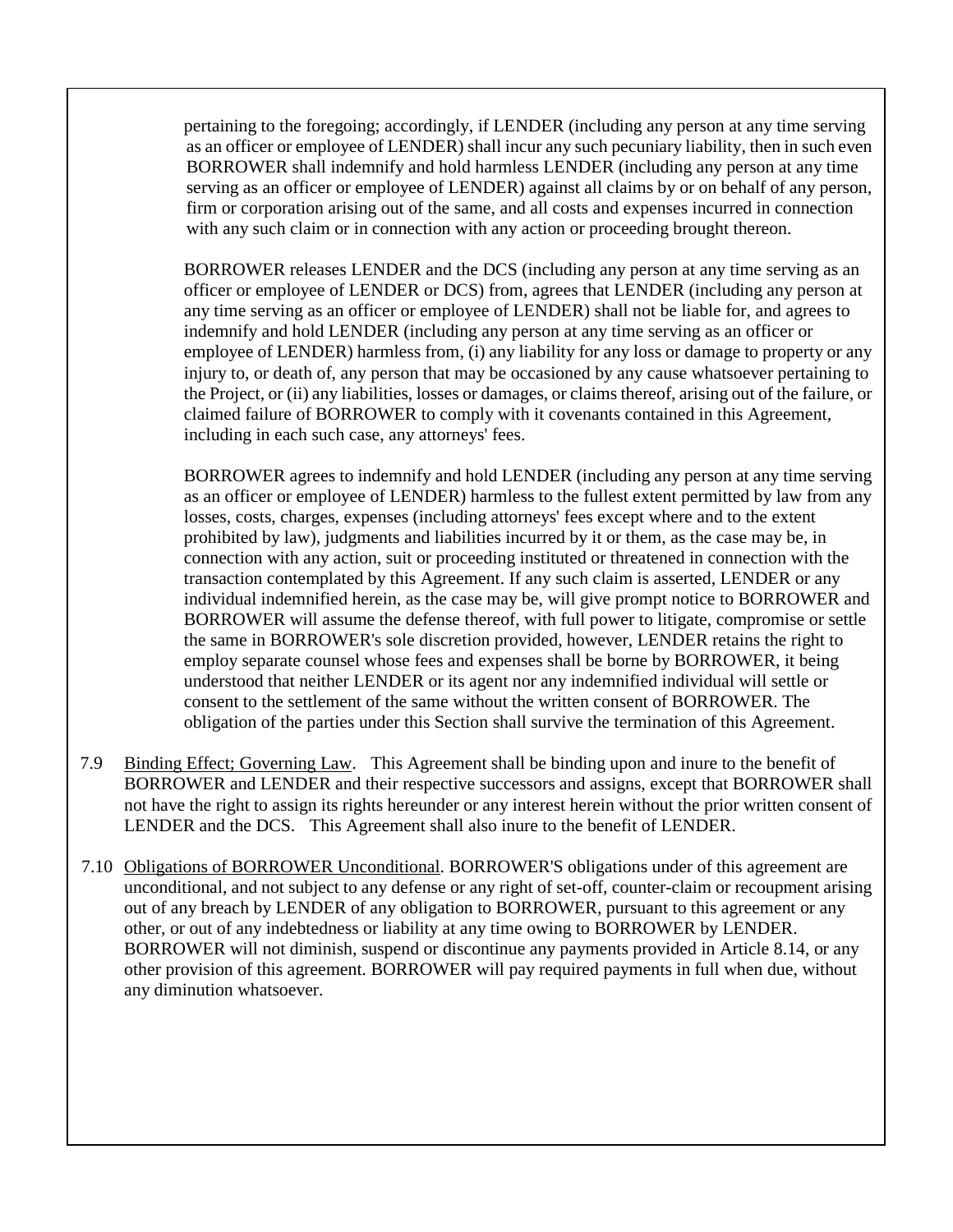pertaining to the foregoing; accordingly, if LENDER (including any person at any time serving as an officer or employee of LENDER) shall incur any such pecuniary liability, then in such even BORROWER shall indemnify and hold harmless LENDER (including any person at any time serving as an officer or employee of LENDER) against all claims by or on behalf of any person, firm or corporation arising out of the same, and all costs and expenses incurred in connection with any such claim or in connection with any action or proceeding brought thereon.

BORROWER releases LENDER and the DCS (including any person at any time serving as an officer or employee of LENDER or DCS) from, agrees that LENDER (including any person at any time serving as an officer or employee of LENDER) shall not be liable for, and agrees to indemnify and hold LENDER (including any person at any time serving as an officer or employee of LENDER) harmless from, (i) any liability for any loss or damage to property or any injury to, or death of, any person that may be occasioned by any cause whatsoever pertaining to the Project, or (ii) any liabilities, losses or damages, or claims thereof, arising out of the failure, or claimed failure of BORROWER to comply with it covenants contained in this Agreement, including in each such case, any attorneys' fees.

BORROWER agrees to indemnify and hold LENDER (including any person at any time serving as an officer or employee of LENDER) harmless to the fullest extent permitted by law from any losses, costs, charges, expenses (including attorneys' fees except where and to the extent prohibited by law), judgments and liabilities incurred by it or them, as the case may be, in connection with any action, suit or proceeding instituted or threatened in connection with the transaction contemplated by this Agreement. If any such claim is asserted, LENDER or any individual indemnified herein, as the case may be, will give prompt notice to BORROWER and BORROWER will assume the defense thereof, with full power to litigate, compromise or settle the same in BORROWER's sole discretion provided, however, LENDER retains the right to employ separate counsel whose fees and expenses shall be borne by BORROWER, it being understood that neither LENDER or its agent nor any indemnified individual will settle or consent to the settlement of the same without the written consent of BORROWER. The obligation of the parties under this Section shall survive the termination of this Agreement.

- 7.9 Binding Effect; Governing Law. This Agreement shall be binding upon and inure to the benefit of BORROWER and LENDER and their respective successors and assigns, except that BORROWER shall not have the right to assign its rights hereunder or any interest herein without the prior written consent of LENDER and the DCS. This Agreement shall also inure to the benefit of LENDER.
- 7.10 Obligations of BORROWER Unconditional. BORROWER'S obligations under of this agreement are unconditional, and not subject to any defense or any right of set-off, counter-claim or recoupment arising out of any breach by LENDER of any obligation to BORROWER, pursuant to this agreement or any other, or out of any indebtedness or liability at any time owing to BORROWER by LENDER. BORROWER will not diminish, suspend or discontinue any payments provided in Article 8.14, or any other provision of this agreement. BORROWER will pay required payments in full when due, without any diminution whatsoever.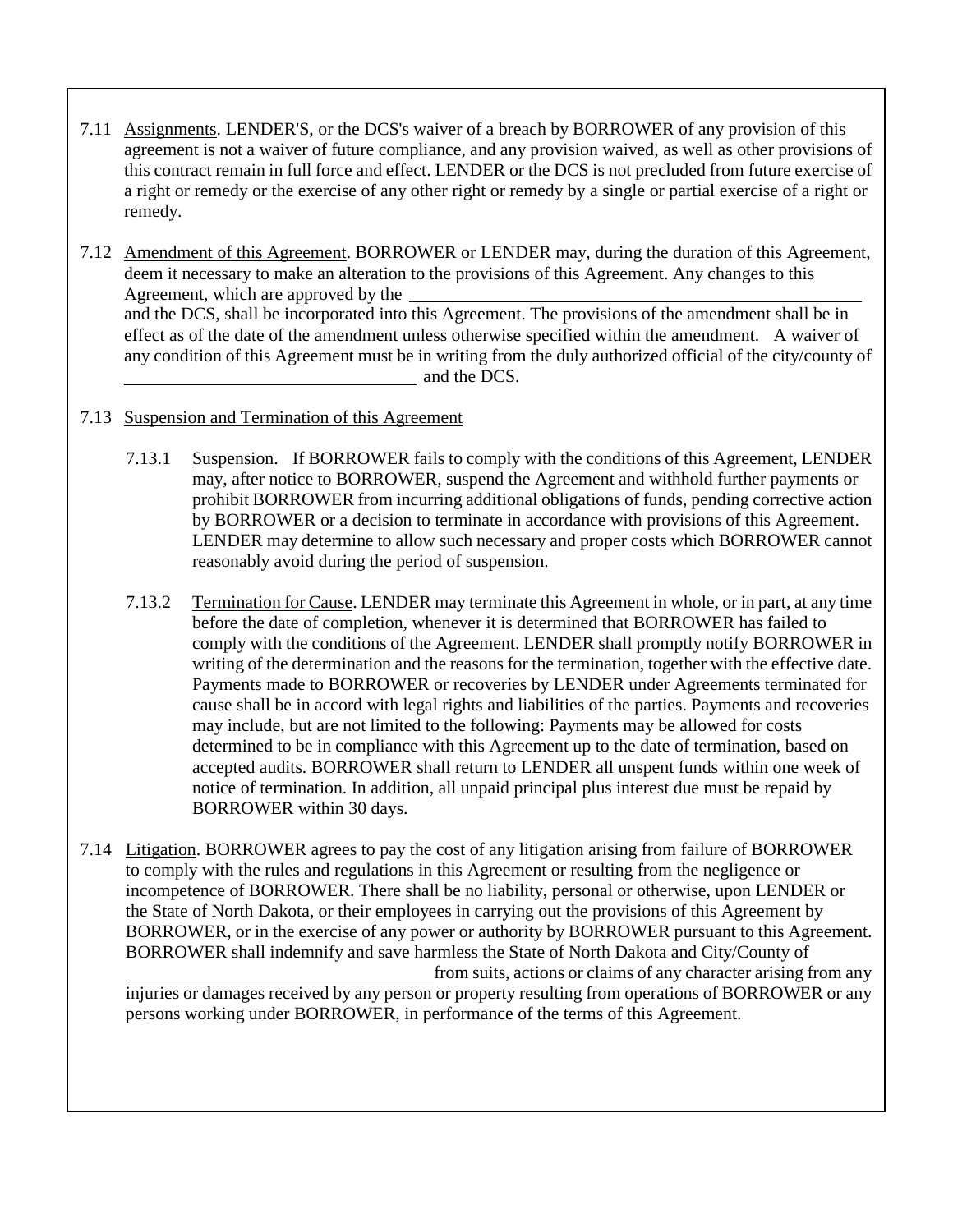- 7.11 Assignments. LENDER'S, or the DCS's waiver of a breach by BORROWER of any provision of this agreement is not a waiver of future compliance, and any provision waived, as well as other provisions of this contract remain in full force and effect. LENDER or the DCS is not precluded from future exercise of a right or remedy or the exercise of any other right or remedy by a single or partial exercise of a right or remedy.
- 7.12 Amendment of this Agreement. BORROWER or LENDER may, during the duration of this Agreement, deem it necessary to make an alteration to the provisions of this Agreement. Any changes to this Agreement, which are approved by the and the DCS, shall be incorporated into this Agreement. The provisions of the amendment shall be in effect as of the date of the amendment unless otherwise specified within the amendment. A waiver of any condition of this Agreement must be in writing from the duly authorized official of the city/county of and the DCS.
- 7.13 Suspension and Termination of this Agreement
	- 7.13.1 Suspension. If BORROWER fails to comply with the conditions of this Agreement, LENDER may, after notice to BORROWER, suspend the Agreement and withhold further payments or prohibit BORROWER from incurring additional obligations of funds, pending corrective action by BORROWER or a decision to terminate in accordance with provisions of this Agreement. LENDER may determine to allow such necessary and proper costs which BORROWER cannot reasonably avoid during the period of suspension.
	- 7.13.2 Termination for Cause. LENDER may terminate this Agreement in whole, or in part, at any time before the date of completion, whenever it is determined that BORROWER has failed to comply with the conditions of the Agreement. LENDER shall promptly notify BORROWER in writing of the determination and the reasons for the termination, together with the effective date. Payments made to BORROWER or recoveries by LENDER under Agreements terminated for cause shall be in accord with legal rights and liabilities of the parties. Payments and recoveries may include, but are not limited to the following: Payments may be allowed for costs determined to be in compliance with this Agreement up to the date of termination, based on accepted audits. BORROWER shall return to LENDER all unspent funds within one week of notice of termination. In addition, all unpaid principal plus interest due must be repaid by BORROWER within 30 days.
- 7.14 Litigation. BORROWER agrees to pay the cost of any litigation arising from failure of BORROWER to comply with the rules and regulations in this Agreement or resulting from the negligence or incompetence of BORROWER. There shall be no liability, personal or otherwise, upon LENDER or the State of North Dakota, or their employees in carrying out the provisions of this Agreement by BORROWER, or in the exercise of any power or authority by BORROWER pursuant to this Agreement. BORROWER shall indemnify and save harmless the State of North Dakota and City/County of from suits, actions or claims of any character arising from any

injuries or damages received by any person or property resulting from operations of BORROWER or any persons working under BORROWER, in performance of the terms of this Agreement.